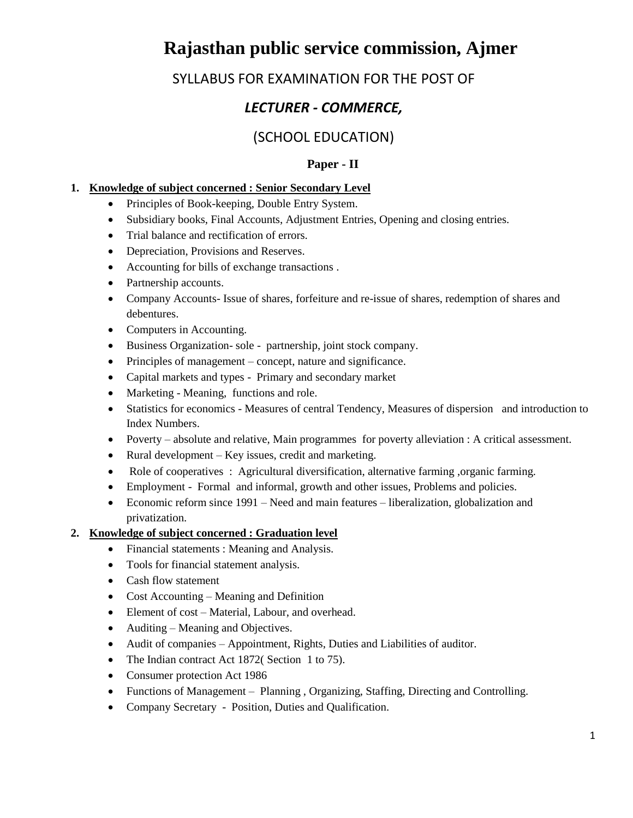# **Rajasthan public service commission, Ajmer**

## SYLLABUS FOR EXAMINATION FOR THE POST OF

## *LECTURER - COMMERCE,*

### (SCHOOL EDUCATION)

#### **Paper - II**

#### **1. Knowledge of subject concerned : Senior Secondary Level**

- Principles of Book-keeping, Double Entry System.
- Subsidiary books, Final Accounts, Adjustment Entries, Opening and closing entries.
- Trial balance and rectification of errors.
- Depreciation, Provisions and Reserves.
- Accounting for bills of exchange transactions .
- Partnership accounts.
- Company Accounts- Issue of shares, forfeiture and re-issue of shares, redemption of shares and debentures.
- Computers in Accounting.
- Business Organization- sole partnership, joint stock company.
- Principles of management concept, nature and significance.
- Capital markets and types Primary and secondary market
- Marketing Meaning, functions and role.
- Statistics for economics Measures of central Tendency, Measures of dispersion and introduction to Index Numbers.
- Poverty absolute and relative, Main programmes for poverty alleviation : A critical assessment.
- Rural development Key issues, credit and marketing.
- Role of cooperatives : Agricultural diversification, alternative farming, organic farming.
- Employment Formal and informal, growth and other issues, Problems and policies.
- Economic reform since 1991 Need and main features liberalization, globalization and privatization.

#### **2. Knowledge of subject concerned : Graduation level**

- Financial statements : Meaning and Analysis.
- Tools for financial statement analysis.
- Cash flow statement
- Cost Accounting Meaning and Definition
- Element of cost Material, Labour, and overhead.
- Auditing Meaning and Objectives.
- Audit of companies Appointment, Rights, Duties and Liabilities of auditor.
- The Indian contract Act 1872( Section 1 to 75).
- Consumer protection Act 1986
- Functions of Management Planning , Organizing, Staffing, Directing and Controlling.
- Company Secretary Position, Duties and Qualification.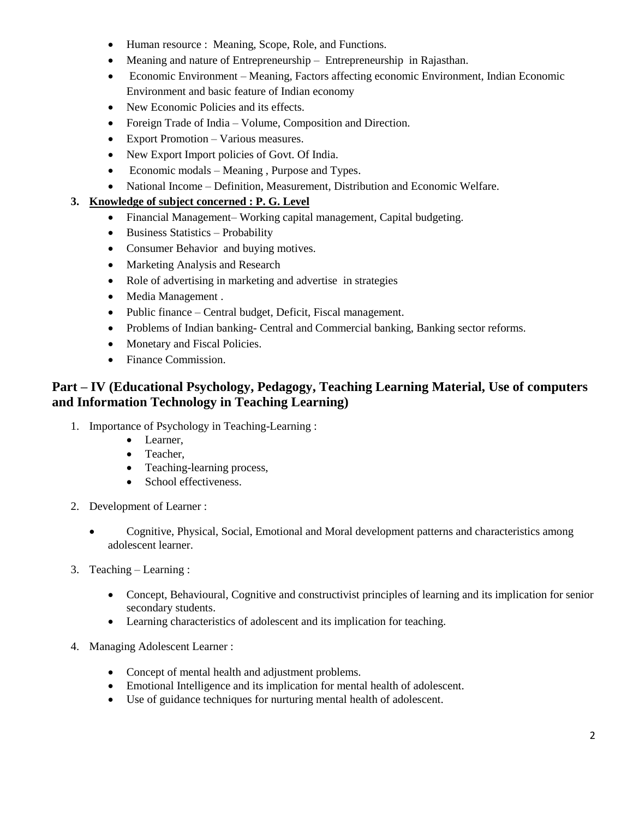- Human resource : Meaning, Scope, Role, and Functions.
- Meaning and nature of Entrepreneurship Entrepreneurship in Rajasthan.
- Economic Environment Meaning, Factors affecting economic Environment, Indian Economic Environment and basic feature of Indian economy
- New Economic Policies and its effects.
- Foreign Trade of India Volume, Composition and Direction.
- Export Promotion Various measures.
- New Export Import policies of Govt. Of India.
- Economic modals Meaning, Purpose and Types.
- National Income Definition, Measurement, Distribution and Economic Welfare.

#### **3. Knowledge of subject concerned : P. G. Level**

- Financial Management– Working capital management, Capital budgeting.
- $\bullet$  Business Statistics Probability
- Consumer Behavior and buying motives.
- Marketing Analysis and Research
- Role of advertising in marketing and advertise in strategies
- Media Management .
- Public finance Central budget, Deficit, Fiscal management.
- Problems of Indian banking- Central and Commercial banking, Banking sector reforms.
- Monetary and Fiscal Policies.
- Finance Commission.

### **Part – IV (Educational Psychology, Pedagogy, Teaching Learning Material, Use of computers and Information Technology in Teaching Learning)**

- 1. Importance of Psychology in Teaching-Learning :
	- Learner,
	- Teacher,
	- Teaching-learning process,
	- School effectiveness.
- 2. Development of Learner :
	- Cognitive, Physical, Social, Emotional and Moral development patterns and characteristics among adolescent learner.
- 3. Teaching Learning :
	- Concept, Behavioural, Cognitive and constructivist principles of learning and its implication for senior secondary students.
	- Learning characteristics of adolescent and its implication for teaching.
- 4. Managing Adolescent Learner :
	- Concept of mental health and adjustment problems.
	- Emotional Intelligence and its implication for mental health of adolescent.
	- Use of guidance techniques for nurturing mental health of adolescent.